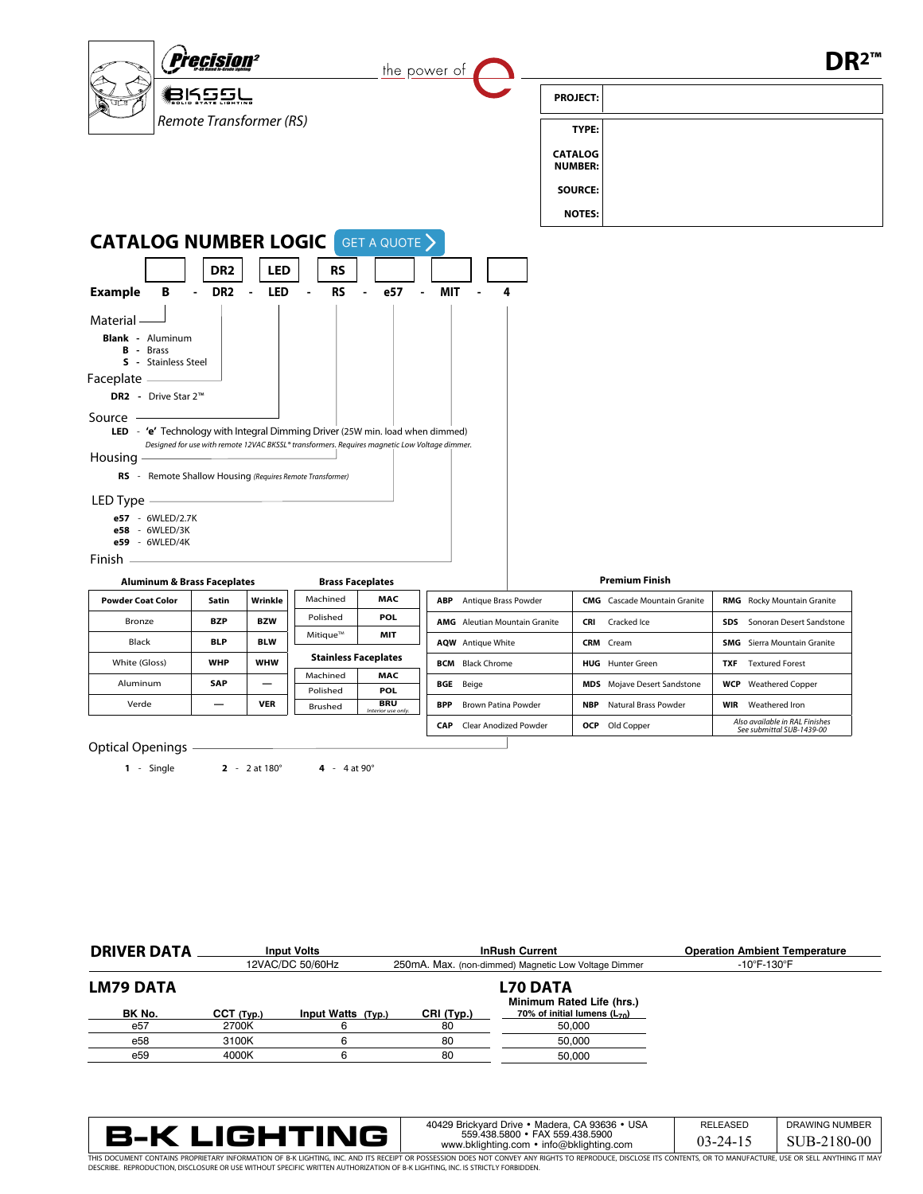

Optical Openings

**1** - Single **2** - 2 at 180° **4** - 4 at 90°

| <b>DRIVER DATA</b> |                                              | <b>Input Volts</b><br>12VAC/DC 50/60Hz | <b>InRush Current</b><br>250mA. Max. (non-dimmed) Magnetic Low Voltage Dimmer |                                  | <b>Operation Ambient Temperature</b><br>$-10^{\circ}$ F-130 $^{\circ}$ F |
|--------------------|----------------------------------------------|----------------------------------------|-------------------------------------------------------------------------------|----------------------------------|--------------------------------------------------------------------------|
| <b>LM79 DATA</b>   | <b>L70 DATA</b><br>Minimum Rated Life (hrs.) |                                        |                                                                               |                                  |                                                                          |
| BK No.             | $CCT$ (Typ.)                                 | Input Watts (Typ.)                     | CRI (Typ.)                                                                    | 70% of initial lumens $(L_{70})$ |                                                                          |
| e <sub>57</sub>    | 2700K                                        |                                        | 80                                                                            | 50.000                           |                                                                          |
| e58                | 3100K                                        |                                        | 80                                                                            | 50.000                           |                                                                          |
| e59                | 4000K                                        |                                        | 80                                                                            | 50.000                           |                                                                          |



RELEASED 03-24-15 40429 Brickyard Drive • Madera, CA 93636 • USA 559.438.5800 • FAX 559.438.5900 www.bklighting.com • info@bklighting.com

| <b>DRAWING NUMBER</b> |
|-----------------------|
| SUB-2180-00           |

THIS DOCUMENT CONTAINS PROPRIETARY INFORMATION OF B-K LIGHTING, INC. AND ITS RECEIPT OR POSSESSION DOES NOT CONVEY ANY RIGHTS TO REPRODUCE, DISCLOSE ITS CONTENTS, OR TO MANUFACTURE, USE OR SELL ANYTHING IT MAY<br>DESCRIBE. RE